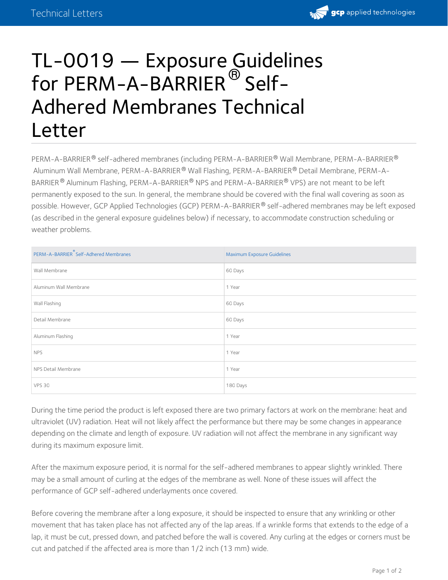

## TL-0019 — Exposure Guidelines for PERM-A-BARRIER $^\circledR$  Self-Adhered Membranes Technical Letter

<code>PERM-A-BARRIER</code>  $^\circ$  self-adhered membranes (including <code>PERM-A-BARRIER</code>  $^\circ$  Wall Membrane, <code>PERM-A-BARRIER</code>  $^\circ$ Aluminum Wall Membrane, PERM-A-BARRIER® Wall Flashing, PERM-A-BARRIER® Detail Membrane, PERM-A-BARRIER  $^\circledR$  Aluminum Flashing, <code>PERM-A-BARRIER</code>  $^\circledR$  NPS and <code>PERM-A-BARRIER</code>  $^\circledR$  VPS) are not meant to be left permanently exposed to the sun. In general, the membrane should be covered with the final wall covering as soon as possible. However, GCP Applied Technologies (GCP) PERM-A-BARRIER® self-adhered membranes may be left exposed (as described in the general exposure guidelines below) if necessary, to accommodate construction scheduling or weather problems.

| PERM-A-BARRIER <sup>®</sup> Self-Adhered Membranes | Maximum Exposure Guidelines |
|----------------------------------------------------|-----------------------------|
| Wall Membrane                                      | 60 Days                     |
| Aluminum Wall Membrane                             | 1 Year                      |
| Wall Flashing                                      | 60 Days                     |
| Detail Membrane                                    | 60 Days                     |
| Aluminum Flashing                                  | 1 Year                      |
| <b>NPS</b>                                         | 1 Year                      |
| NPS Detail Membrane                                | 1 Year                      |
| <b>VPS 30</b>                                      | 180 Days                    |

During the time period the product is left exposed there are two primary factors at work on the membrane: heat and ultraviolet (UV) radiation. Heat will not likely affect the performance but there may be some changes in appearance depending on the climate and length of exposure. UV radiation will not affect the membrane in any significant way during its maximum exposure limit.

After the maximum exposure period, it is normal for the self-adhered membranes to appear slightly wrinkled. There may be a small amount of curling at the edges of the membrane as well. None of these issues will affect the performance of GCP self-adhered underlayments once covered.

Before covering the membrane after a long exposure, it should be inspected to ensure that any wrinkling or other movement that has taken place has not affected any of the lap areas. If a wrinkle forms that extends to the edge of a lap, it must be cut, pressed down, and patched before the wall is covered. Any curling at the edges or corners must be cut and patched if the affected area is more than 1/2 inch (13 mm) wide.